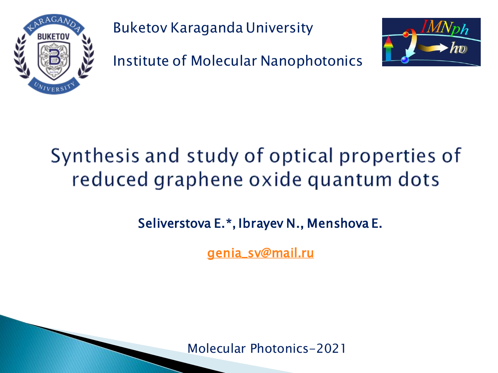

Buketov Karaganda University

Institute of Molecular Nanophotonics



# Synthesis and study of optical properties of reduced graphene oxide quantum dots

## Seliverstova E.\*, Ibrayev N., Menshova E.

[genia\\_sv@mail.ru](mailto:Genia_sv@mail.ru)

Molecular Photonics-2021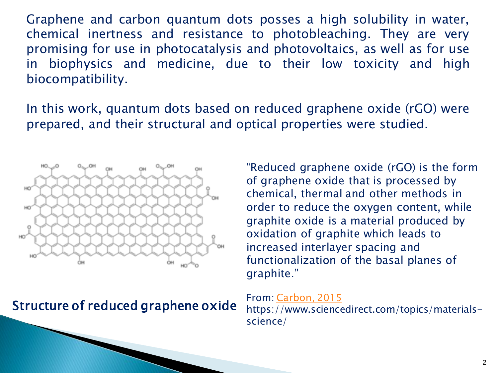Graphene and carbon quantum dots posses a high solubility in water, chemical inertness and resistance to photobleaching. They are very promising for use in photocatalysis and photovoltaics, as well as for use in biophysics and medicine, due to their low toxicity and high biocompatibility.

In this work, quantum dots based on reduced graphene oxide (rGO) were prepared, and their structural and optical properties were studied.



Structure of reduced graphene oxide

"Reduced graphene oxide (rGO) is the form of graphene oxide that is processed by chemical, thermal and other methods in order to reduce the oxygen content, while graphite oxide is a material produced by oxidation of graphite which leads to increased interlayer spacing and functionalization of the basal planes of graphite."

#### From: [Carbon,](https://www.sciencedirect.com/science/article/pii/S000862231530172X) [2015](https://www.sciencedirect.com/science/article/pii/S000862231530172X) https://www.sciencedirect.com/topics/materialsscience/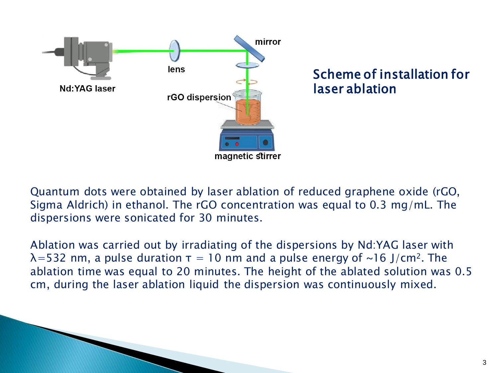

#### Scheme of installation for laser ablation

Quantum dots were obtained by laser ablation of reduced graphene oxide (rGO, Sigma Aldrich) in ethanol. The rGO concentration was equal to 0.3 mg/mL. The dispersions were sonicated for 30 minutes.

Ablation was carried out by irradiating of the dispersions by Nd:YAG laser with  $\lambda$ =532 nm, a pulse duration  $\tau$  = 10 nm and a pulse energy of ~16 J/cm<sup>2</sup>. The ablation time was equal to 20 minutes. The height of the ablated solution was 0.5 cm, during the laser ablation liquid the dispersion was continuously mixed.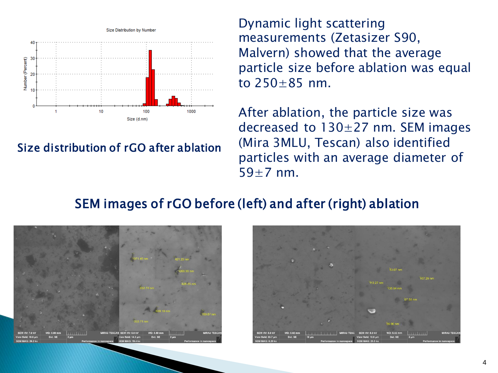

#### Size distribution of rGO after ablation

Dynamic light scattering measurements (Zetasizer S90, Malvern) showed that the average particle size before ablation was equal to  $250+85$  nm.

After ablation, the particle size was decreased to  $130 \pm 27$  nm. SEM images (Mira 3MLU, Tescan) also identified particles with an average diameter of  $59+7$  nm.

### SEM images of rGO before (left) and after (right) ablation



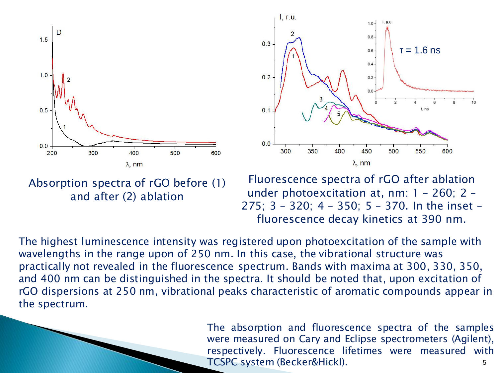



Absorption spectra of rGO before (1) and after (2) ablation

Fluorescence spectra of rGO after ablation under photoexcitation at, nm: 1 – 260; 2 – 275; 3 – 320; 4 – 350; 5 – 370. In the inset – fluorescence decay kinetics at 390 nm.

The highest luminescence intensity was registered upon photoexcitation of the sample with wavelengths in the range upon of 250 nm. In this case, the vibrational structure was practically not revealed in the fluorescence spectrum. Bands with maxima at 300, 330, 350, and 400 nm can be distinguished in the spectra. It should be noted that, upon excitation of rGO dispersions at 250 nm, vibrational peaks characteristic of aromatic compounds appear in the spectrum.

> 5 The absorption and fluorescence spectra of the samples were measured on Cary and Eclipse spectrometers (Agilent), respectively. Fluorescence lifetimes were measured with TCSPC system (Becker&Hickl).